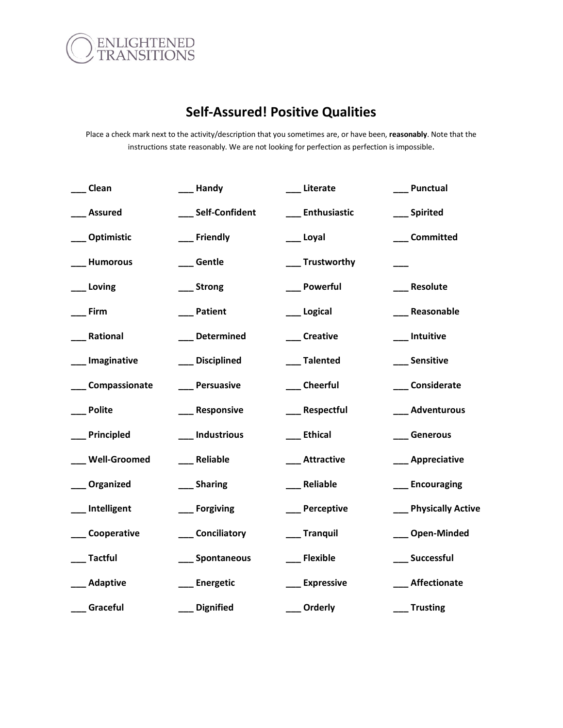

## **Self-Assured! Positive Qualities**

Place a check mark next to the activity/description that you sometimes are, or have been, **reasonably**. Note that the instructions state reasonably. We are not looking for perfection as perfection is impossible.

| Clean               | _Handy           | Literate          | Punctual             |
|---------------------|------------------|-------------------|----------------------|
| <b>Assured</b>      | Self-Confident   | Enthusiastic      | __ Spirited          |
| Optimistic          | Friendly         | __ Loyal          | Committed            |
| <b>Humorous</b>     | _Gentle          | _ Trustworthy     |                      |
| Loving              | _Strong          | _ Powerful        | Resolute             |
| Firm                | Patient          | Logical           | Reasonable           |
| Rational            | _Determined      | __ Creative       | __ Intuitive         |
| Imaginative         | Disciplined      | __ Talented       | <b>Sensitive</b>     |
| Compassionate       | Persuasive       | __ Cheerful       | __Considerate        |
| <b>Polite</b>       | Responsive       | __ Respectful     | Adventurous          |
| Principled          | _Industrious     | __ Ethical        | __ Generous          |
| <b>Well-Groomed</b> | _Reliable        | _Attractive       | __ Appreciative      |
| Organized           | __ Sharing       | __ Reliable       | __ Encouraging       |
| Intelligent         | __ Forgiving     | __ Perceptive     | __ Physically Active |
| Cooperative         | Conciliatory     | Tranquil          | __ Open-Minded       |
| <b>Tactful</b>      | Spontaneous      | Flexible          | __ Successful        |
| Adaptive            | <b>Energetic</b> | <b>Expressive</b> | <b>Affectionate</b>  |
| Graceful            | <b>Dignified</b> | Orderly           | <b>Trusting</b>      |